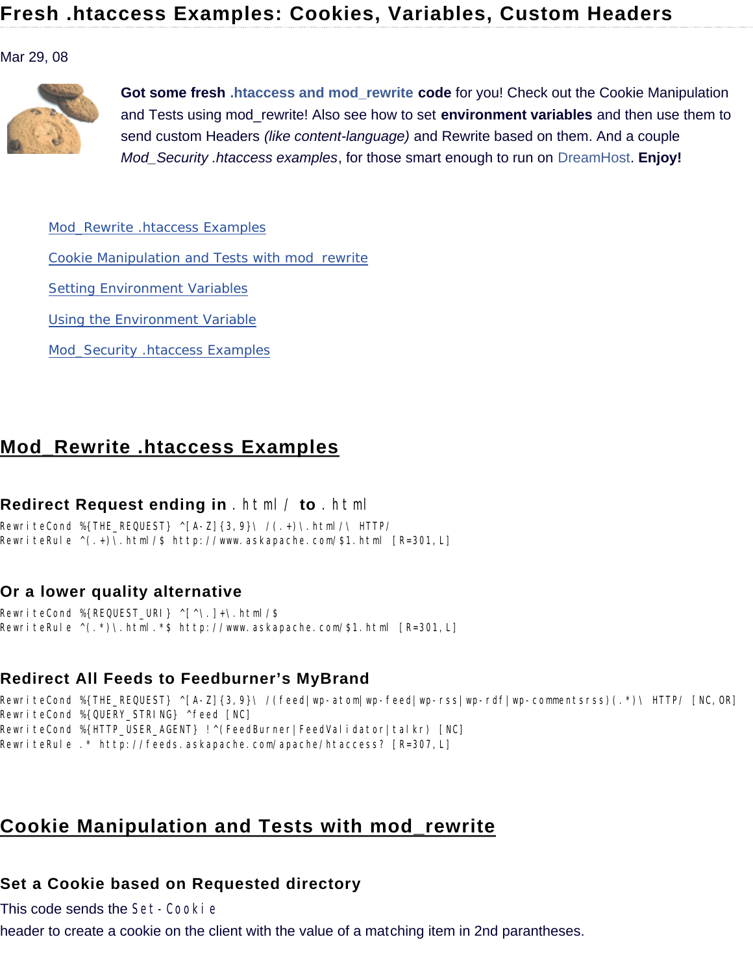#### Mar 29, 08



**Got some fresh .htaccess and mod\_rewrite code** for you! Check out the Cookie Manipulation and Tests using mod\_rewrite! Also see how to set **environment variables** and then use them to send custom Headers *(like content-language)* and Rewrite based on them. And a couple *Mod\_Security .htaccess examples*, for those smart enough to run on DreamHost. **Enjoy!**

Mod\_Rewrite .htaccess Examples

Cookie Manipulation and Tests with mod\_rewrite

Setting Environment Variables

Using the Environment Variable

Mod\_Security .htaccess Examples

# **Mod\_Rewrite .htaccess Examples**

### **Redirect Request ending in** .html/ **to** .html

RewriteCond %{THE\_REQUEST} ^[A-Z]{3,9}\ /(.+)\.html/\ HTTP/ RewriteRule ^(.+)\.html/\$ http://www.askapache.com/\$1.html [R=301,L]

### **Or a lower quality alternative**

RewriteCond %{REQUEST\_URI} ^[^\.]+\.html/\$ RewriteRule ^(.\*)\.html.\*\$ http://www.askapache.com/\$1.html [R=301,L]

## **Redirect All Feeds to Feedburner's MyBrand**

RewriteCond %{THE\_REQUEST} ^[A-Z]{3,9}\ /(feed|wp-atom|wp-feed|wp-rss|wp-rdf|wp-commentsrss)(.\*)\ HTTP/ [NC,OR] RewriteCond %{QUERY\_STRING} ^feed [NC] RewriteCond %{HTTP\_USER\_AGENT} !^(FeedBurner|FeedValidator|talkr) [NC] RewriteRule .\* http://feeds.askapache.com/apache/htaccess? [R=307,L]

# **Cookie Manipulation and Tests with mod\_rewrite**

## **Set a Cookie based on Requested directory**

This code sends the Set-Cooki e

header to create a cookie on the client with the value of a matching item in 2nd parantheses.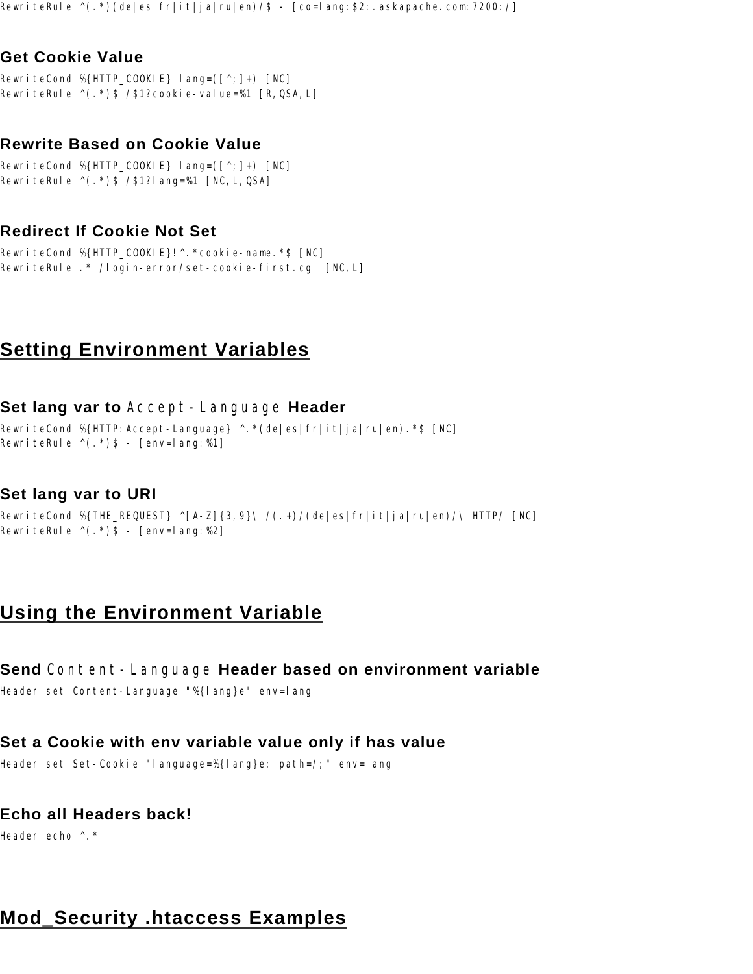RewriteRule ^(.\*)(de|es|fr|it|ja|ru|en)/\$ - [co=lang:\$2:.askapache.com:7200:/]

## **Get Cookie Value**

RewriteCond %{HTTP\_COOKIE} lang= $([^{\wedge};]_{+})$  [NC] RewriteRule ^(.\*)\$ /\$1?cookie-value=%1 [R,QSA,L]

#### **Rewrite Based on Cookie Value**

RewriteCond %{HTTP\_COOKIE} lang=( $[\uparrow, \uparrow]$ +) [NC] RewriteRule ^(.\*)\$ /\$1?lang=%1 [NC,L,QSA]

#### **Redirect If Cookie Not Set**

RewriteCond %{HTTP\_COOKIE}!^.\*cookie-name.\*\$ [NC] RewriteRule .\* /login-error/set-cookie-first.cgi [NC,L]

## **Setting Environment Variables**

#### **Set lang var to** Accept-Language **Header**

RewriteCond %{HTTP:Accept-Language} ^.\*(de|es|fr|it|ja|ru|en).\*\$ [NC] RewriteRule  $\wedge$ (.\*)\$ - [env=lang:%1]

#### **Set lang var to URI**

RewriteCond %{THE\_REQUEST} ^[A-Z]{3,9}\ /(.+)/(de|es|fr|it|ja|ru|en)/\ HTTP/ [NC] RewriteRule  $\wedge$ (.\*)\$ - [env=lang:%2]

## **Using the Environment Variable**

#### **Send** Content-Language **Header based on environment variable**

Header set Content-Language "%{lang}e" env=lang

## **Set a Cookie with env variable value only if has value**

Header set Set-Cookie "language=%{lang}e; path=/;" env=lang

## **Echo all Headers back!**

Header echo ^.\*

# **Mod\_Security .htaccess Examples**